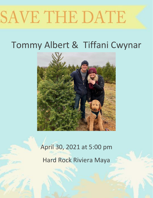# SAVE THE DATE

# Tommy Albert & Tiffani Cwynar



# April 30, 2021 at 5:00 pm Hard Rock Riviera Maya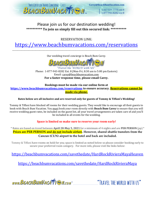

# Please join us for our destination wedding! **\*\*\*\*\*\*\*\*\*\* To join us simply fill out this secured link: \*\*\*\*\*\*\*\*\*\***

RESERVATION LINK:

<https://www.beachbumvacations.com/reservations> \_\_\_\_\_\_\_\_\_\_\_\_\_\_\_\_\_\_\_\_\_\_\_\_\_\_\_\_\_\_\_\_\_\_\_\_\_\_\_\_\_\_\_\_\_\_\_\_\_\_\_\_\_\_\_\_\_\_\_\_\_\_\_\_\_\_\_\_\_\_\_\_\_\_\_\_\_\_\_\_\_\_\_\_\_\_\_\_\_\_\_\_\_\_\_\_\_\_\_\_\_\_\_\_\_\_\_\_\_\_\_\_\_\_\_\_\_\_\_\_\_\_\_\_\_\_

Our wedding travel concierge is Beach Bum Carey.



Travel the WORLD with US Phone: 1-877-943-8282 Ext. 8 (Mon-Fri, 8:30 am to 5:00 pm Eastern) Email: [carey@beachbumvacation.com](mailto:carey@beachbumvacation.com) **For a faster response time, please email Carey.** 

#### **Bookings must be made via our online form at**

**<https://www.beachbumvacations.com/reservations> to ensure accuracy. Reservations cannot be made via phone.**

#### **Rates below are all inclusive and are reserved only for guests of Tommy & Tiffani's Wedding!**

Tommy & Tiffani have blocked off rooms for their wedding guests. They would like to encourage all their guests to book with Beach Bum Vacation. You must book your room directly with **Beach Bum Carey** to ensure that you will receive wedding guest rates, be included on the guest list, all your travel arrangements are taken care of and you'll be included in all events for the wedding.

#### **Space is limited so make sure to reserve your room early!**

\* Rates are based on travel between **April 28-May 5, 2021** for a minimum of 4 nights and are **PER PERSON** (pp) \* **Prices are PER PERSON and do not include airfare. However, shared shuttle transfers from the Cancun (CUN) airport to the hotel and back are included.** 

Tommy & Tiffani have rooms on hold for you; space is limited as noted below so please consider booking early to secure your preferred room category. For more info, please visit the links below:

<https://beachbumvacations.com/savethedate/HardRockRivieraMayaHeaven>

<https://beachbumvacations.com/savethedate/HardRockRivieraMaya>

www.BEACHBUMVACATTEM.com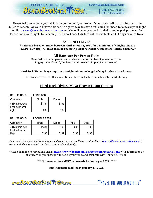

Carey@BeachBumVacation.com

1.317.577.7775 ext 8 1.877.943.8282 ext 8

Please feel free to book your airfare on your own if you prefer. If you have credit card points or airline miles to redeem for your airfare, this can be a great way to save a bit! You'll just need to forward your flight details t[o carey@beachbumvacation.com](mailto:carey@beachbumvacation.com) and she will arrange your included round trip airport transfers. Please book your flights to Cancun (CUN airport code). Airfare will be available at 331 days prior to travel.

# **\*ALL-INCLUSIVE\***

#### **\* Rates are based on travel between April 28-May 5, 2021 for a minimum of 4 nights and are PER PERSON (pp). All rates include round trip airport transfers but do NOT include airfare. \***

## **All Rates are Per Person Rates**

Rates below are per person and are based on the number of guests per room: Single (1 adult/room), Double (2 adults/room), Triple (3 adults/room).

#### **Hard Rock Riviera Maya requires a 4 night minimum length of stay for these travel dates.**

Rooms are held in the Heaven section of the resort, which is exclusively for adults only.

# **Hard Rock Riviera Maya Heaven Room Options**

| <b>DELUXE GOLD</b> | <b>1 KING BED</b> |        |
|--------------------|-------------------|--------|
| Occupancy          | Single            | Double |
| 4 Night Package    | \$1384            | \$795  |
| Each additional    |                   |        |
| night              | \$335             | \$187  |

#### **DELUXE GOLD 2 DOUBLE BEDS**

| Occupancy       | Single | Double | Triple | Quad  |
|-----------------|--------|--------|--------|-------|
| 4 Night Package | \$1384 | \$795  | \$807  | \$792 |
| Each Additional |        |        |        |       |
| Night           | \$335  | \$187  | \$190  | \$186 |

*This resort also offers additional upgraded room categories. Please contact Carey [\(carey@beachbumvacation.com\)](mailto:carey@beachbumvacation.com) if you would like more details, included rates and availability.* 

\*Please fill in the Reservation Form at **<https://www.beachbumvacations.com/reservations>** with information as it appears on your passport to secure your room and celebrate with Tommy & Tiffani!

\*\*\*\*\***All reservations MUST to be made by January 6, 2021.** \*\*\*\*\*

**Final payment deadline is January 27, 2021.**

www.BEACHBUMVACATTERM.com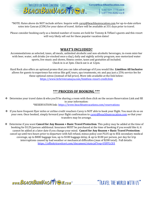

Carey@BeachBumVacation.com

1.317.577.7775 ext 8 1.877.943.8282 ext 8

\*NOTE: Rates above do NOT include airfare. Inquire with [carey@beachbumvacation.com](mailto:carey@beachbumvacation.com) for up-to-date airfare rates into Cancun (CUN) for your dates of travel. Airfare will be available at 331 days prior to travel.

Please consider booking early as a limited number of rooms are held for Tommy & Tiffani's guests and this resort will very likely sell out for these popular vacation dates!

### **WHAT'S INCLUDED?**

Accommodations as selected, taxes, all meals, unlimited alcoholic and non-alcoholic beverages, in-room mini-bar with beer, water, soft drinks (re-stocked once a day), daily and nightly activity program, non-motorized water sports, live music and shows, fitness center, taxes and gratuities all included. Check in is at 3pm. Check out is at 12pm.

Hard Rock also offers an optional promo that you can take advantage of if you would like. **Limitless All Inclusive** allows for guests to experience fun extras like golf, tours, spa treatments, etc and pay just a 25% service fee for these optional extras (instead of full price). More info available at the link below: <https://www.hrhrivieramaya.com/limitless-resort-credit.htm>

# **\*\*\* PROCESS OF BOOKING \*\*\***

◆ Determine your travel dates & who you'll be sharing a room with then click on the secure Reservation Link and fill in your information: \*RESERVATION link:<https://www.beachbumvacations.com/reservations>

- ❖ If you have frequent flyer miles or airline credit vouchers Carey is NOT able to book your flight. You must do so on your own. Once booked, simply forward your flight confirmation to [carey@beachbumvacation.com](mailto:carey@beachbumvacation.com) so that your transfers may be arrange.
- ❖ Determine if you want **Cancel for Any Reason + Basic Travel Protection**. This policy may be added at the time of booking for \$129/person additional. Insurance MUST be purchased at the time of booking if you would like it; it cannot be added at a later date if you change your mind. **Cancel for Any Reason + Basic Travel Protection**: cancel up until two hours prior to departure with full refund, minus policy cost PLUS up to \$5k secondary medical coverage, up to \$800 baggage loss, up to \$100 baggage delay, & up to \$100 per person, per day for trip interruptions caused by bad weather or mechanical difficulties (max of \$200 total). Full details: https://affinitytravelcert.com/document/state.jsf?req=USFFLC03

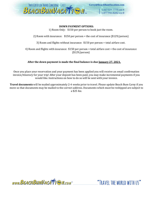

#### **DOWN PAYMENT OPTIONS:**

1) Room Only: \$150 per person to book just the room.

2) Room with insurance: \$150 per person + the cost of insurance (\$129/person)

3) Room and flights without insurance: \$150 per person + total airfare cost.

4) Room and flights with insurance: \$150 per person + total airfare cost + the cost of insurance (\$129/person)

#### **After the down payment is made the final balance is due January 27, 2021.**

Once you place your reservation and your payment has been applied you will receive an email confirmation invoice/itinerary for your trip! After your deposit has been paid, you may make incremental payments if you would like. Instructions on how to do so will be sent with your invoice.

**Travel documents** will be mailed approximately 2-4 weeks prior to travel. Please update Beach Bum Carey if you move so that documents may be mailed to the correct address. Documents which must be reshipped are subject to a \$25 fee.

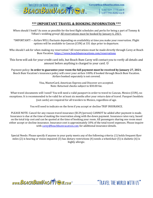

Carey@BeachBumVacation.com

1.317.577.7775 ext 8 1.877.943.8282 ext 8

#### **\*\*\* IMPORTANT TRAVEL & BOOKING INFORMATION \*\*\***

When should I book? As soon as possible for the best flight schedules and perks for being a part of Tommy & Tiffani's wedding group! All reservations must be booked by January 6, 2021.

\*IMPORTANT! -- Airfare WILL fluctuate depending on availability at time you make your reservation. Flight options will be available to Cancun (CUN) at 331 days prior to departure.

Who should I ask for when making my reservation? All reservations must be made directly through Carey at Beach Bum Vacation.<https://www.beachbumvacations.com/reservations>

This form will ask for your credit card info, but Beach Bum Carey will contact you to verify all details and amount before anything is charged to your card.  $\odot$ 

Payment policy: **In order to guarantee your room the full payment must be received by January 27, 2021.** Beach Bum Vacation's insurance policy will cover your airfare 100% if booked through Beach Bum Vacation. Airfare booked separately is not covered.

> Visa, MasterCard, American Express and Discover are accepted. Note: Returned checks subject to \$30.00 fee.

What travel documents will I need? You will need a valid passport in order to travel to Cancun, Mexico (CUN), no exceptions. It is recommended to be valid for at least six months after your return date of travel. Passport booklets (not cards) are required for all travelers to Mexico, regardless of age.

You will need to indicate on the form if you accept or decline TRIP INSURANCE.

PLEASE NOTE: Cancel for any reason travel insurance (\$129/person) CANNOT be added after payment is made. Insurance is due at the time of making the reservation along with the down payment. Insurance rates vary, based on the total trip cost and can be quoted at the time of booking your room. All passengers sharing one room must either accept or decline insurance. Insurance cost is approximately 10% of the total travel expenses. Please inquire with [carey@beachbumvacation.com](mailto:carey@beachbumvacation.com) for additional insurance details.

Special Needs: Please specify if anyone in your party meets any of the following criteria: (1) holds frequent flyer miles (2) is hearing or vision impaired (3) has dietary restrictions (4) needs a wheelchair (5) is diabetic (6) is highly allergic.

www.BEACHBUMVACATTEN.com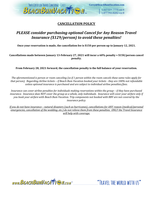

# **CANCELLATION POLICY**

# *PLEASE consider purchasing optional Cancel for Any Reason Travel Insurance (\$129/person) to avoid these penalties!*

**Once your reservation is made, the cancellation fee is \$150 per person up to January 12, 2021.** 

**Cancellations made between January 13-February 27, 2021 will incur a 60% penalty + \$150/person cancel penalty.** 

**From February 28, 2021 forward, the cancellation penalty is the full balance of your reservation.**

*The aforementioned is person or room canceling (so if 1 person within the room cancels these same rules apply for that person). Regarding Airline tickets – if Beach Bum Vacation booked your tickets - they are 100% not refundable unless optional insurance is purchased and are subject to individual airline penalties/fees.* 

*Insurance can cover airline penalties for individuals making reservations within the group – if they have purchased insurance. Insurance does NOT cover the group as a whole, only individuals. Insurance will cover your airfare only if you book your airfare with Beach Bum Vacation. Trip components not booked with BBV are not covered by the insurance policy.* 

*If you do not have insurance – natural disasters (such as hurricanes), cancellations for ANY reason (medical/personal emergencies, cancellation of the wedding, etc.) do not relieve them from these penalties. ONLY the Travel Insurance will help with coverage.*